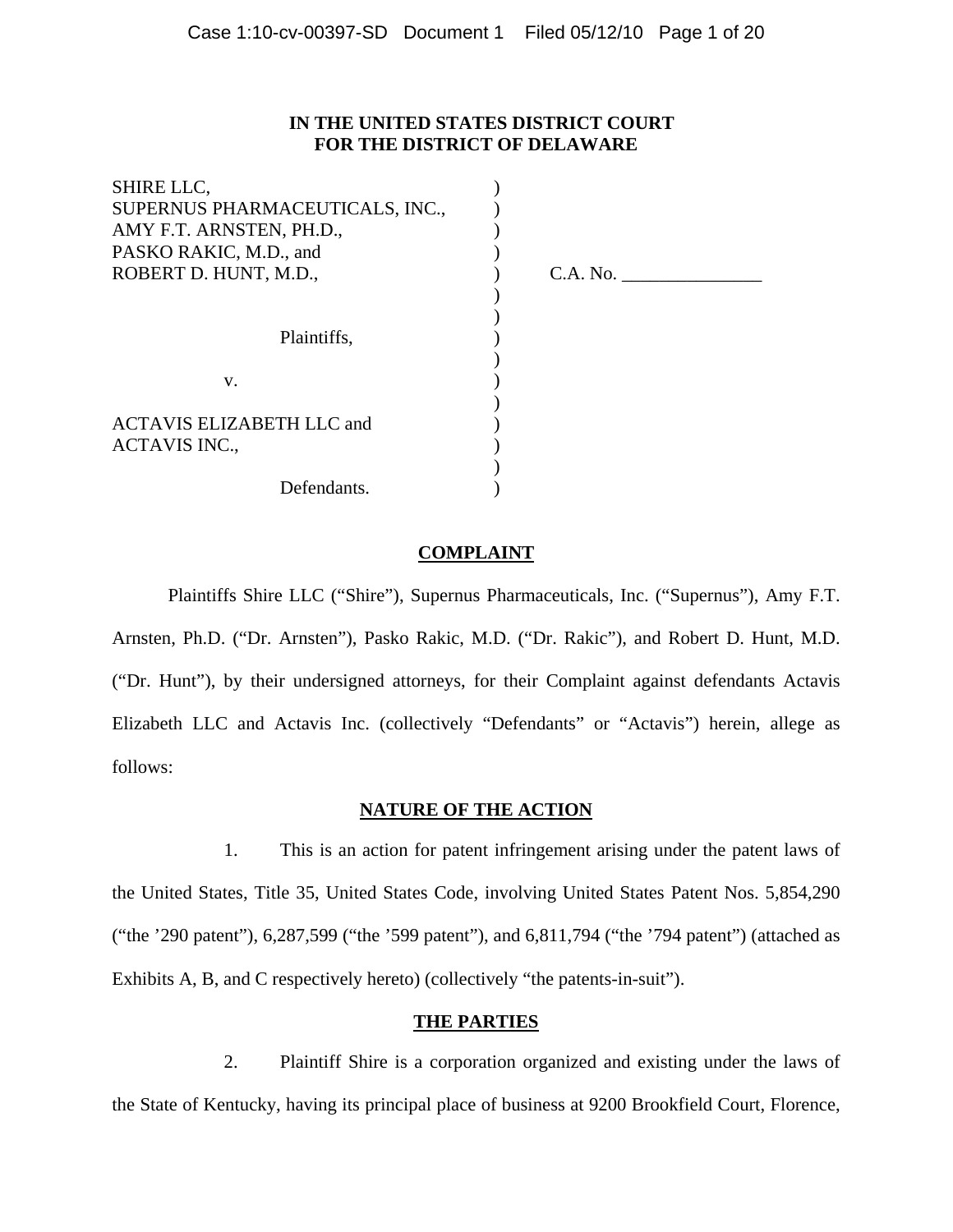# **IN THE UNITED STATES DISTRICT COURT FOR THE DISTRICT OF DELAWARE**

) ) ) )

) ) ) ) ) ) ) ) ) )

| SHIRE LLC,                       |
|----------------------------------|
| SUPERNUS PHARMACEUTICALS, INC.,  |
| AMY F.T. ARNSTEN, PH.D.,         |
| PASKO RAKIC, M.D., and           |
| ROBERT D. HUNT, M.D.,            |
|                                  |
|                                  |
| Plaintiffs,                      |
|                                  |
| v.                               |
|                                  |
| <b>ACTAVIS ELIZABETH LLC and</b> |
| <b>ACTAVIS INC.,</b>             |
|                                  |
| Defendants.                      |

) C.A. No. \_\_\_\_\_\_\_\_\_\_\_\_\_\_\_

# **COMPLAINT**

Plaintiffs Shire LLC ("Shire"), Supernus Pharmaceuticals, Inc. ("Supernus"), Amy F.T. Arnsten, Ph.D. ("Dr. Arnsten"), Pasko Rakic, M.D. ("Dr. Rakic"), and Robert D. Hunt, M.D.

("Dr. Hunt"), by their undersigned attorneys, for their Complaint against defendants Actavis Elizabeth LLC and Actavis Inc. (collectively "Defendants" or "Actavis") herein, allege as follows:

# **NATURE OF THE ACTION**

1. This is an action for patent infringement arising under the patent laws of the United States, Title 35, United States Code, involving United States Patent Nos. 5,854,290 ("the '290 patent"), 6,287,599 ("the '599 patent"), and 6,811,794 ("the '794 patent") (attached as Exhibits A, B, and C respectively hereto) (collectively "the patents-in-suit").

# **THE PARTIES**

2. Plaintiff Shire is a corporation organized and existing under the laws of the State of Kentucky, having its principal place of business at 9200 Brookfield Court, Florence,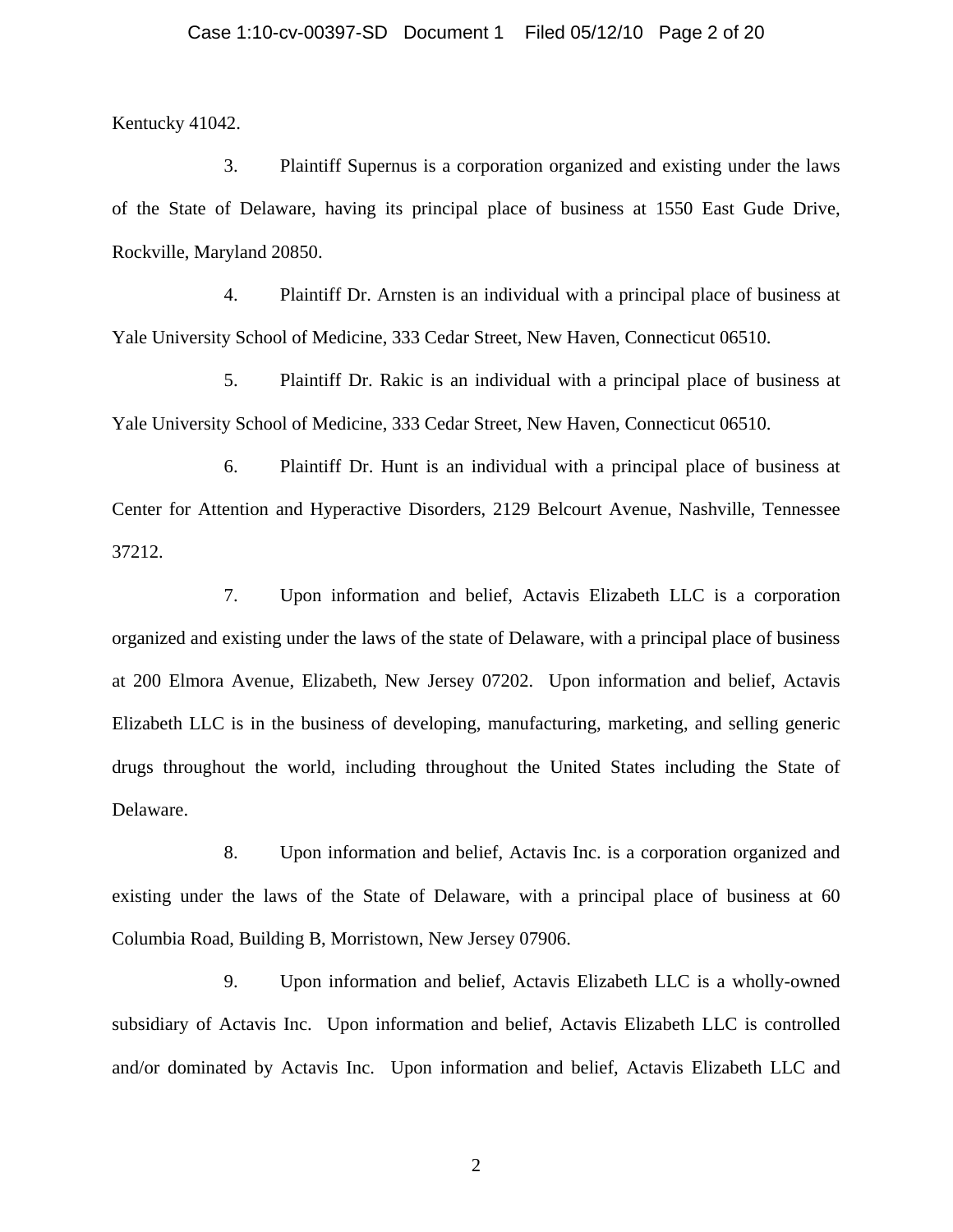Kentucky 41042.

3. Plaintiff Supernus is a corporation organized and existing under the laws of the State of Delaware, having its principal place of business at 1550 East Gude Drive, Rockville, Maryland 20850.

4. Plaintiff Dr. Arnsten is an individual with a principal place of business at Yale University School of Medicine, 333 Cedar Street, New Haven, Connecticut 06510.

5. Plaintiff Dr. Rakic is an individual with a principal place of business at Yale University School of Medicine, 333 Cedar Street, New Haven, Connecticut 06510.

6. Plaintiff Dr. Hunt is an individual with a principal place of business at Center for Attention and Hyperactive Disorders, 2129 Belcourt Avenue, Nashville, Tennessee 37212.

7. Upon information and belief, Actavis Elizabeth LLC is a corporation organized and existing under the laws of the state of Delaware, with a principal place of business at 200 Elmora Avenue, Elizabeth, New Jersey 07202. Upon information and belief, Actavis Elizabeth LLC is in the business of developing, manufacturing, marketing, and selling generic drugs throughout the world, including throughout the United States including the State of Delaware.

8. Upon information and belief, Actavis Inc. is a corporation organized and existing under the laws of the State of Delaware, with a principal place of business at 60 Columbia Road, Building B, Morristown, New Jersey 07906.

9. Upon information and belief, Actavis Elizabeth LLC is a wholly-owned subsidiary of Actavis Inc. Upon information and belief, Actavis Elizabeth LLC is controlled and/or dominated by Actavis Inc. Upon information and belief, Actavis Elizabeth LLC and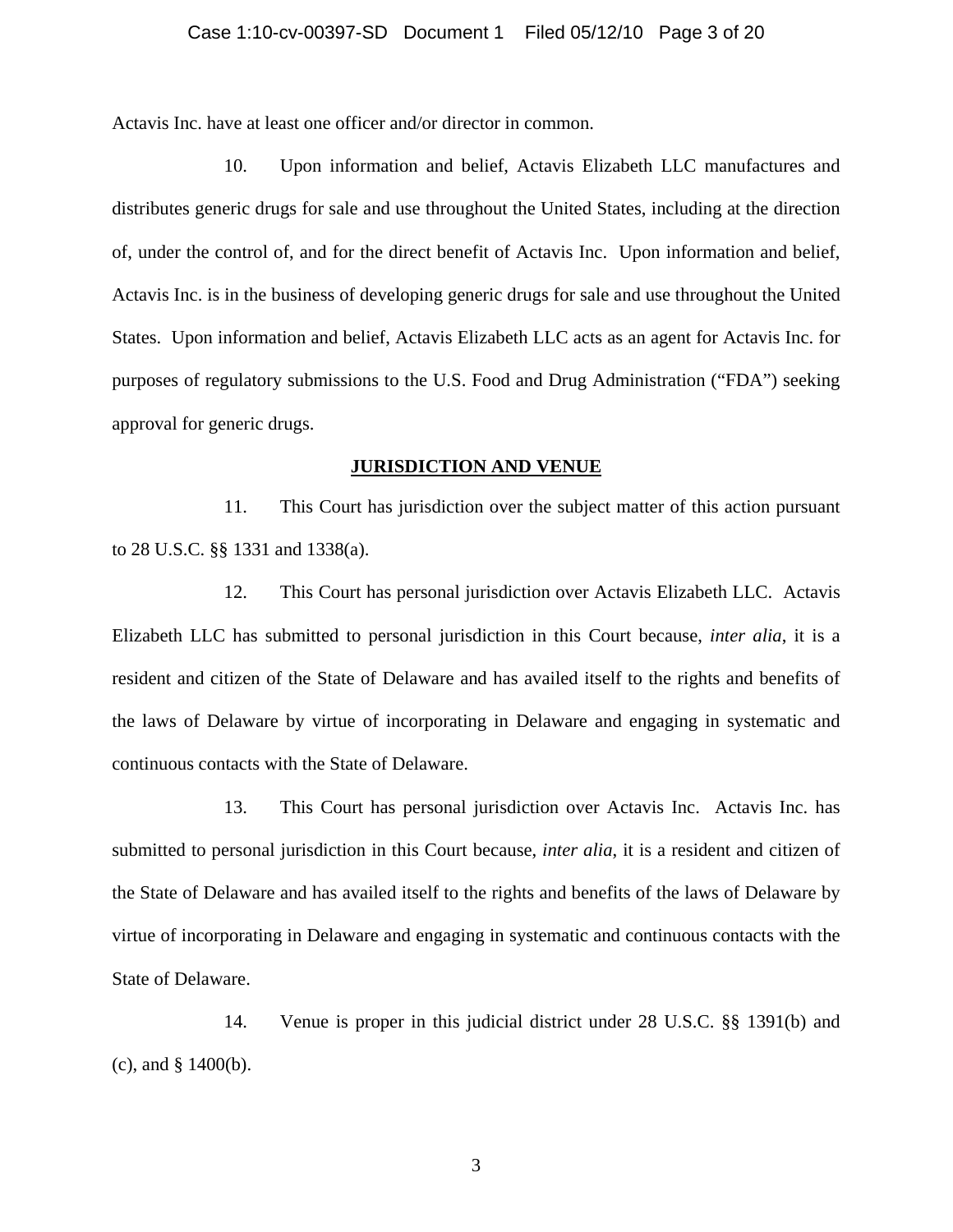Actavis Inc. have at least one officer and/or director in common.

10. Upon information and belief, Actavis Elizabeth LLC manufactures and distributes generic drugs for sale and use throughout the United States, including at the direction of, under the control of, and for the direct benefit of Actavis Inc. Upon information and belief, Actavis Inc. is in the business of developing generic drugs for sale and use throughout the United States. Upon information and belief, Actavis Elizabeth LLC acts as an agent for Actavis Inc. for purposes of regulatory submissions to the U.S. Food and Drug Administration ("FDA") seeking approval for generic drugs.

### **JURISDICTION AND VENUE**

11. This Court has jurisdiction over the subject matter of this action pursuant to 28 U.S.C. §§ 1331 and 1338(a).

12. This Court has personal jurisdiction over Actavis Elizabeth LLC. Actavis Elizabeth LLC has submitted to personal jurisdiction in this Court because, *inter alia*, it is a resident and citizen of the State of Delaware and has availed itself to the rights and benefits of the laws of Delaware by virtue of incorporating in Delaware and engaging in systematic and continuous contacts with the State of Delaware.

13. This Court has personal jurisdiction over Actavis Inc. Actavis Inc. has submitted to personal jurisdiction in this Court because, *inter alia*, it is a resident and citizen of the State of Delaware and has availed itself to the rights and benefits of the laws of Delaware by virtue of incorporating in Delaware and engaging in systematic and continuous contacts with the State of Delaware.

14. Venue is proper in this judicial district under 28 U.S.C. §§ 1391(b) and (c), and § 1400(b).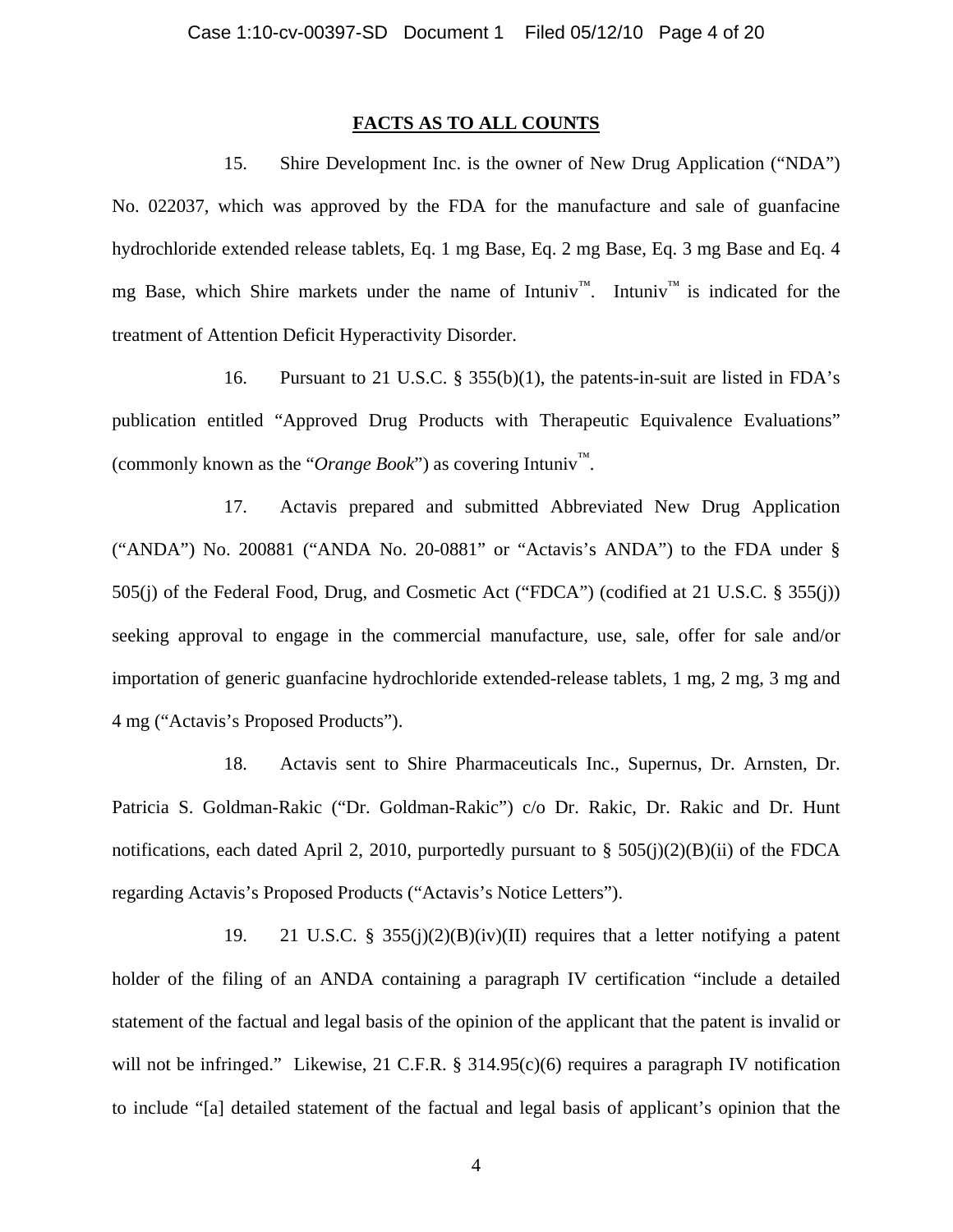## **FACTS AS TO ALL COUNTS**

15. Shire Development Inc. is the owner of New Drug Application ("NDA") No. 022037, which was approved by the FDA for the manufacture and sale of guanfacine hydrochloride extended release tablets, Eq. 1 mg Base, Eq. 2 mg Base, Eq. 3 mg Base and Eq. 4 mg Base, which Shire markets under the name of Intuniv<sup>™</sup>. Intuniv<sup>™</sup> is indicated for the treatment of Attention Deficit Hyperactivity Disorder.

16. Pursuant to 21 U.S.C. § 355(b)(1), the patents-in-suit are listed in FDA's publication entitled "Approved Drug Products with Therapeutic Equivalence Evaluations" (commonly known as the "*Orange Book*") as covering Intuniv™.

17. Actavis prepared and submitted Abbreviated New Drug Application ("ANDA") No. 200881 ("ANDA No. 20-0881" or "Actavis's ANDA") to the FDA under § 505(j) of the Federal Food, Drug, and Cosmetic Act ("FDCA") (codified at 21 U.S.C. § 355(j)) seeking approval to engage in the commercial manufacture, use, sale, offer for sale and/or importation of generic guanfacine hydrochloride extended-release tablets, 1 mg, 2 mg, 3 mg and 4 mg ("Actavis's Proposed Products").

18. Actavis sent to Shire Pharmaceuticals Inc., Supernus, Dr. Arnsten, Dr. Patricia S. Goldman-Rakic ("Dr. Goldman-Rakic") c/o Dr. Rakic, Dr. Rakic and Dr. Hunt notifications, each dated April 2, 2010, purportedly pursuant to §  $505(i)(2)(B)(ii)$  of the FDCA regarding Actavis's Proposed Products ("Actavis's Notice Letters").

19. 21 U.S.C. § 355(j)(2)(B)(iv)(II) requires that a letter notifying a patent holder of the filing of an ANDA containing a paragraph IV certification "include a detailed statement of the factual and legal basis of the opinion of the applicant that the patent is invalid or will not be infringed." Likewise, 21 C.F.R. § 314.95(c)(6) requires a paragraph IV notification to include "[a] detailed statement of the factual and legal basis of applicant's opinion that the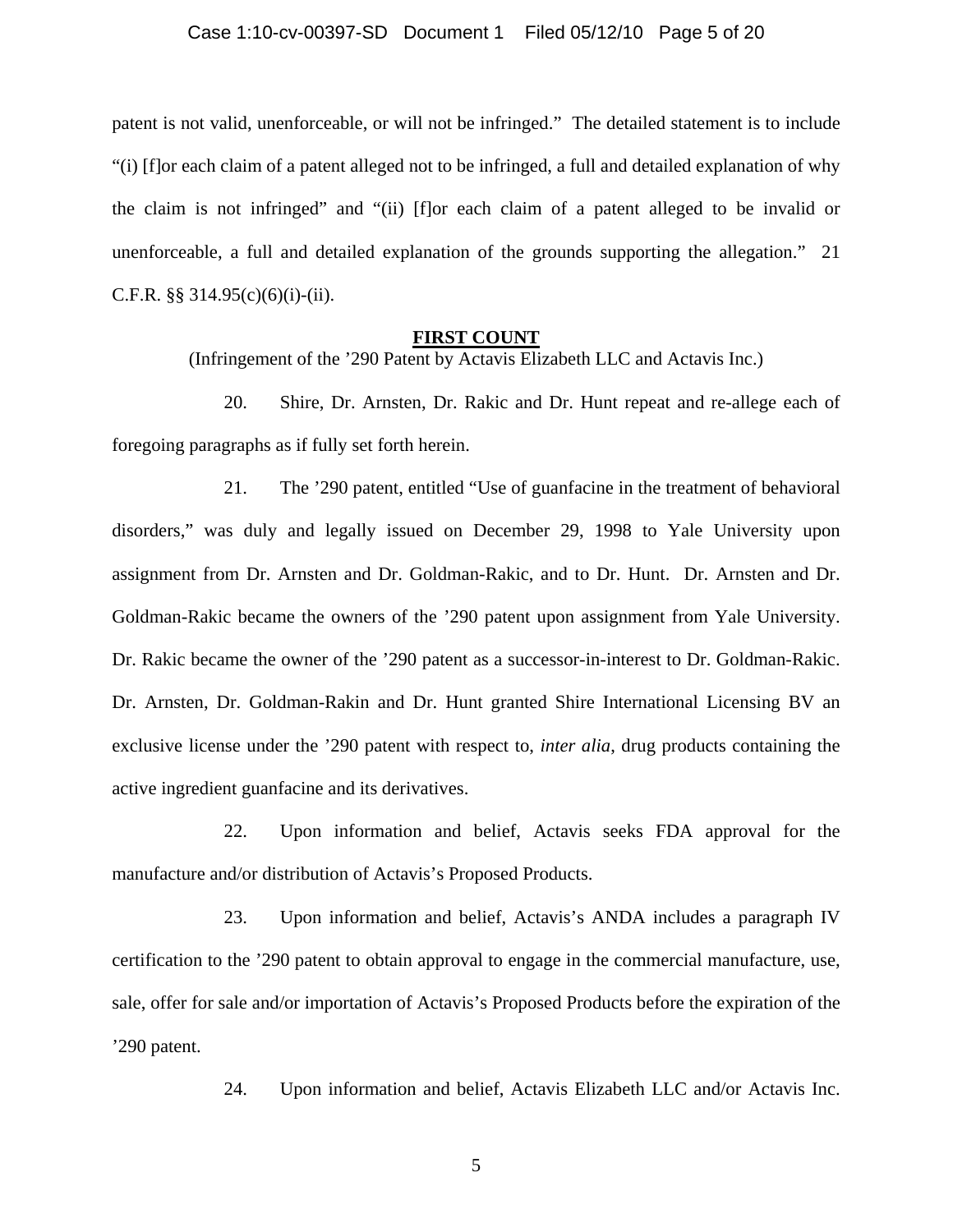### Case 1:10-cv-00397-SD Document 1 Filed 05/12/10 Page 5 of 20

patent is not valid, unenforceable, or will not be infringed." The detailed statement is to include "(i) [f]or each claim of a patent alleged not to be infringed, a full and detailed explanation of why the claim is not infringed" and "(ii) [f]or each claim of a patent alleged to be invalid or unenforceable, a full and detailed explanation of the grounds supporting the allegation." 21 C.F.R. §§ 314.95 $(c)(6)(i)-(ii)$ .

#### **FIRST COUNT**

(Infringement of the '290 Patent by Actavis Elizabeth LLC and Actavis Inc.)

20. Shire, Dr. Arnsten, Dr. Rakic and Dr. Hunt repeat and re-allege each of foregoing paragraphs as if fully set forth herein.

21. The '290 patent, entitled "Use of guanfacine in the treatment of behavioral disorders," was duly and legally issued on December 29, 1998 to Yale University upon assignment from Dr. Arnsten and Dr. Goldman-Rakic, and to Dr. Hunt. Dr. Arnsten and Dr. Goldman-Rakic became the owners of the '290 patent upon assignment from Yale University. Dr. Rakic became the owner of the '290 patent as a successor-in-interest to Dr. Goldman-Rakic. Dr. Arnsten, Dr. Goldman-Rakin and Dr. Hunt granted Shire International Licensing BV an exclusive license under the '290 patent with respect to, *inter alia*, drug products containing the active ingredient guanfacine and its derivatives.

22. Upon information and belief, Actavis seeks FDA approval for the manufacture and/or distribution of Actavis's Proposed Products.

23. Upon information and belief, Actavis's ANDA includes a paragraph IV certification to the '290 patent to obtain approval to engage in the commercial manufacture, use, sale, offer for sale and/or importation of Actavis's Proposed Products before the expiration of the '290 patent.

24. Upon information and belief, Actavis Elizabeth LLC and/or Actavis Inc.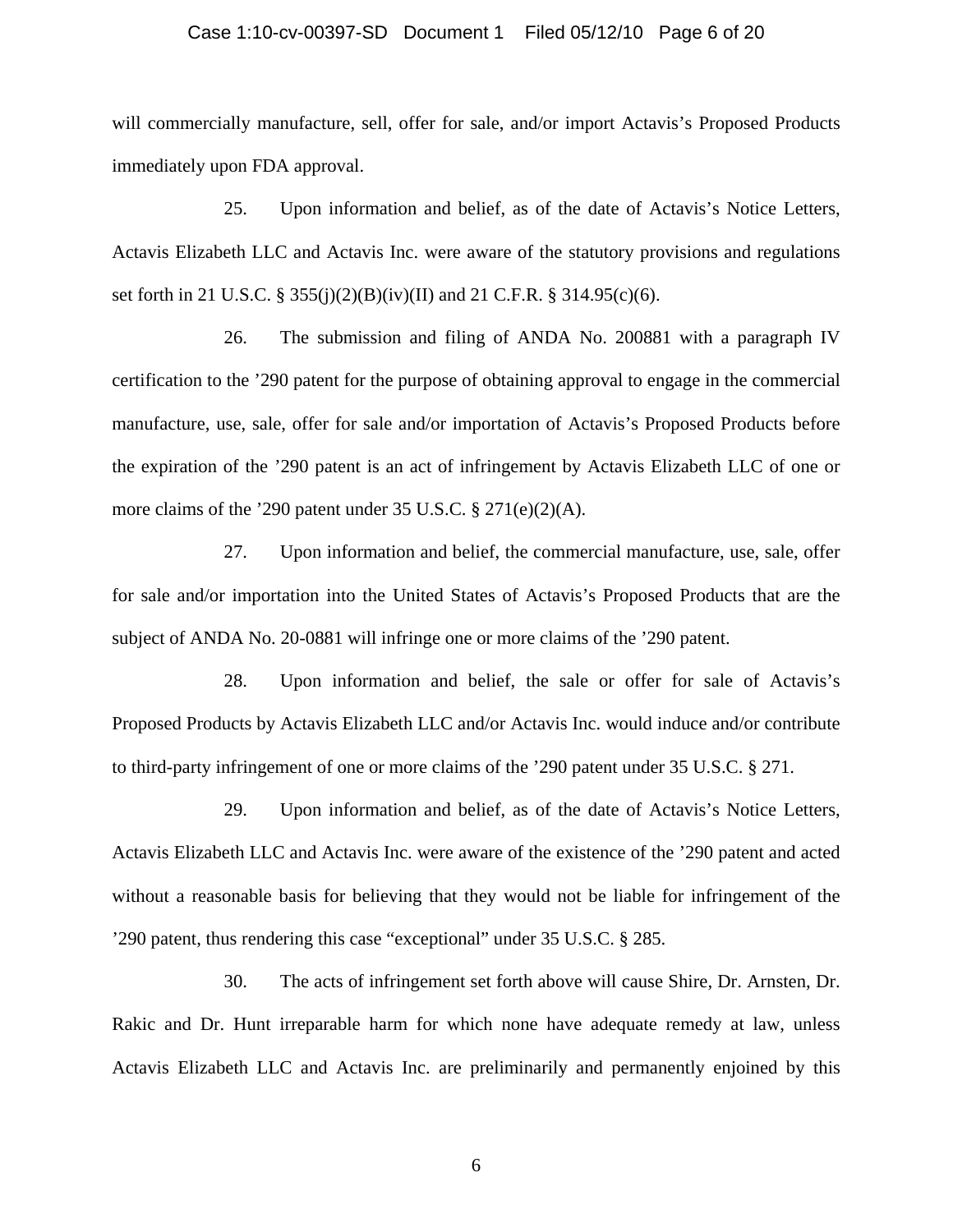### Case 1:10-cv-00397-SD Document 1 Filed 05/12/10 Page 6 of 20

will commercially manufacture, sell, offer for sale, and/or import Actavis's Proposed Products immediately upon FDA approval.

25. Upon information and belief, as of the date of Actavis's Notice Letters, Actavis Elizabeth LLC and Actavis Inc. were aware of the statutory provisions and regulations set forth in 21 U.S.C. § 355(j)(2)(B)(iv)(II) and 21 C.F.R. § 314.95(c)(6).

26. The submission and filing of ANDA No. 200881 with a paragraph IV certification to the '290 patent for the purpose of obtaining approval to engage in the commercial manufacture, use, sale, offer for sale and/or importation of Actavis's Proposed Products before the expiration of the '290 patent is an act of infringement by Actavis Elizabeth LLC of one or more claims of the '290 patent under 35 U.S.C. § 271(e)(2)(A).

27. Upon information and belief, the commercial manufacture, use, sale, offer for sale and/or importation into the United States of Actavis's Proposed Products that are the subject of ANDA No. 20-0881 will infringe one or more claims of the '290 patent.

28. Upon information and belief, the sale or offer for sale of Actavis's Proposed Products by Actavis Elizabeth LLC and/or Actavis Inc. would induce and/or contribute to third-party infringement of one or more claims of the '290 patent under 35 U.S.C. § 271.

29. Upon information and belief, as of the date of Actavis's Notice Letters, Actavis Elizabeth LLC and Actavis Inc. were aware of the existence of the '290 patent and acted without a reasonable basis for believing that they would not be liable for infringement of the '290 patent, thus rendering this case "exceptional" under 35 U.S.C. § 285.

30. The acts of infringement set forth above will cause Shire, Dr. Arnsten, Dr. Rakic and Dr. Hunt irreparable harm for which none have adequate remedy at law, unless Actavis Elizabeth LLC and Actavis Inc. are preliminarily and permanently enjoined by this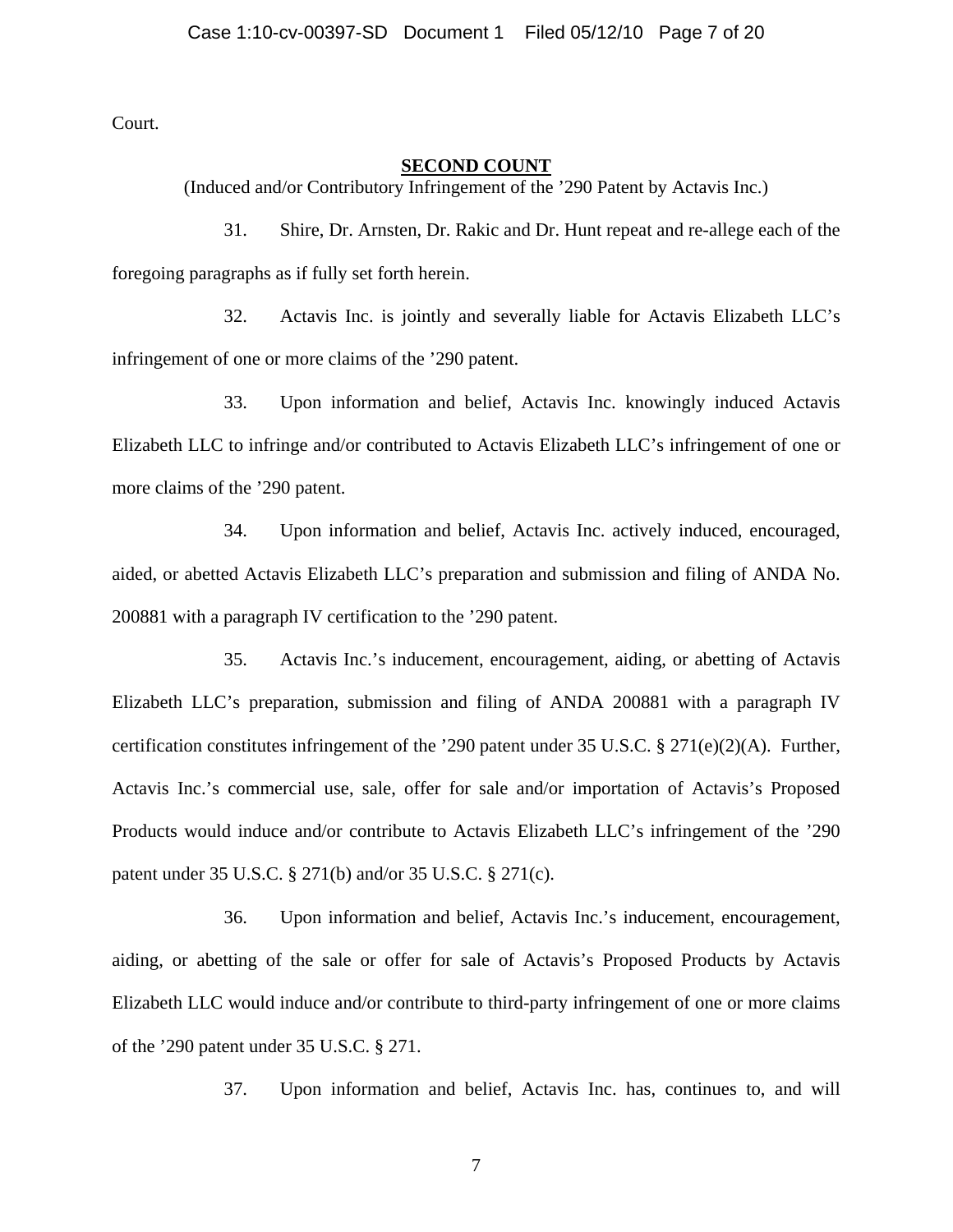Court.

## **SECOND COUNT**

(Induced and/or Contributory Infringement of the '290 Patent by Actavis Inc.)

31. Shire, Dr. Arnsten, Dr. Rakic and Dr. Hunt repeat and re-allege each of the foregoing paragraphs as if fully set forth herein.

32. Actavis Inc. is jointly and severally liable for Actavis Elizabeth LLC's infringement of one or more claims of the '290 patent.

33. Upon information and belief, Actavis Inc. knowingly induced Actavis Elizabeth LLC to infringe and/or contributed to Actavis Elizabeth LLC's infringement of one or more claims of the '290 patent.

34. Upon information and belief, Actavis Inc. actively induced, encouraged, aided, or abetted Actavis Elizabeth LLC's preparation and submission and filing of ANDA No. 200881 with a paragraph IV certification to the '290 patent.

35. Actavis Inc.'s inducement, encouragement, aiding, or abetting of Actavis Elizabeth LLC's preparation, submission and filing of ANDA 200881 with a paragraph IV certification constitutes infringement of the '290 patent under 35 U.S.C. § 271(e)(2)(A). Further, Actavis Inc.'s commercial use, sale, offer for sale and/or importation of Actavis's Proposed Products would induce and/or contribute to Actavis Elizabeth LLC's infringement of the '290 patent under 35 U.S.C. § 271(b) and/or 35 U.S.C. § 271(c).

36. Upon information and belief, Actavis Inc.'s inducement, encouragement, aiding, or abetting of the sale or offer for sale of Actavis's Proposed Products by Actavis Elizabeth LLC would induce and/or contribute to third-party infringement of one or more claims of the '290 patent under 35 U.S.C. § 271.

37. Upon information and belief, Actavis Inc. has, continues to, and will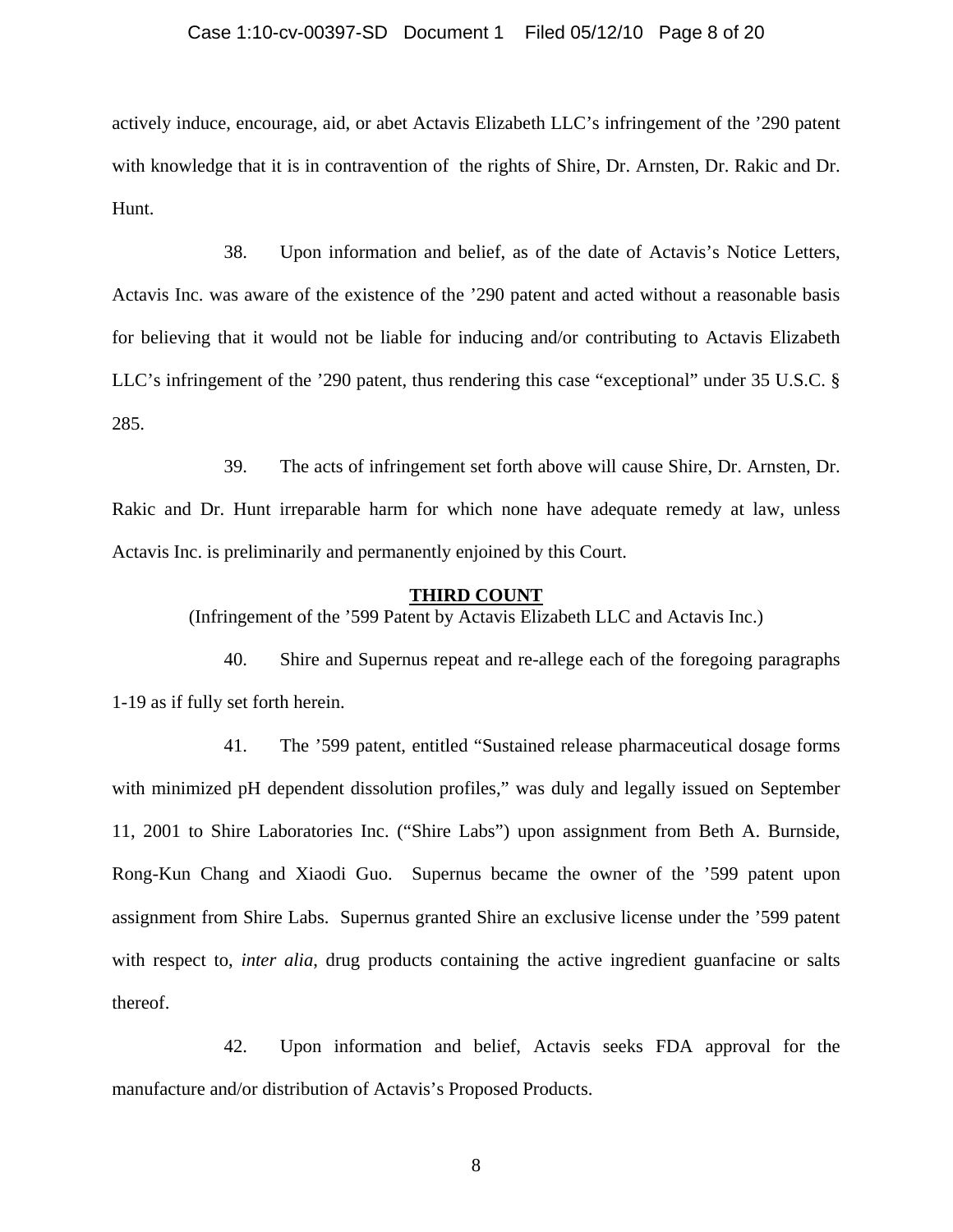### Case 1:10-cv-00397-SD Document 1 Filed 05/12/10 Page 8 of 20

actively induce, encourage, aid, or abet Actavis Elizabeth LLC's infringement of the '290 patent with knowledge that it is in contravention of the rights of Shire, Dr. Arnsten, Dr. Rakic and Dr. Hunt.

38. Upon information and belief, as of the date of Actavis's Notice Letters, Actavis Inc. was aware of the existence of the '290 patent and acted without a reasonable basis for believing that it would not be liable for inducing and/or contributing to Actavis Elizabeth LLC's infringement of the '290 patent, thus rendering this case "exceptional" under 35 U.S.C. § 285.

39. The acts of infringement set forth above will cause Shire, Dr. Arnsten, Dr. Rakic and Dr. Hunt irreparable harm for which none have adequate remedy at law, unless Actavis Inc. is preliminarily and permanently enjoined by this Court.

#### **THIRD COUNT**

(Infringement of the '599 Patent by Actavis Elizabeth LLC and Actavis Inc.)

40. Shire and Supernus repeat and re-allege each of the foregoing paragraphs 1-19 as if fully set forth herein.

41. The '599 patent, entitled "Sustained release pharmaceutical dosage forms with minimized pH dependent dissolution profiles," was duly and legally issued on September 11, 2001 to Shire Laboratories Inc. ("Shire Labs") upon assignment from Beth A. Burnside, Rong-Kun Chang and Xiaodi Guo. Supernus became the owner of the '599 patent upon assignment from Shire Labs. Supernus granted Shire an exclusive license under the '599 patent with respect to, *inter alia*, drug products containing the active ingredient guanfacine or salts thereof.

42. Upon information and belief, Actavis seeks FDA approval for the manufacture and/or distribution of Actavis's Proposed Products.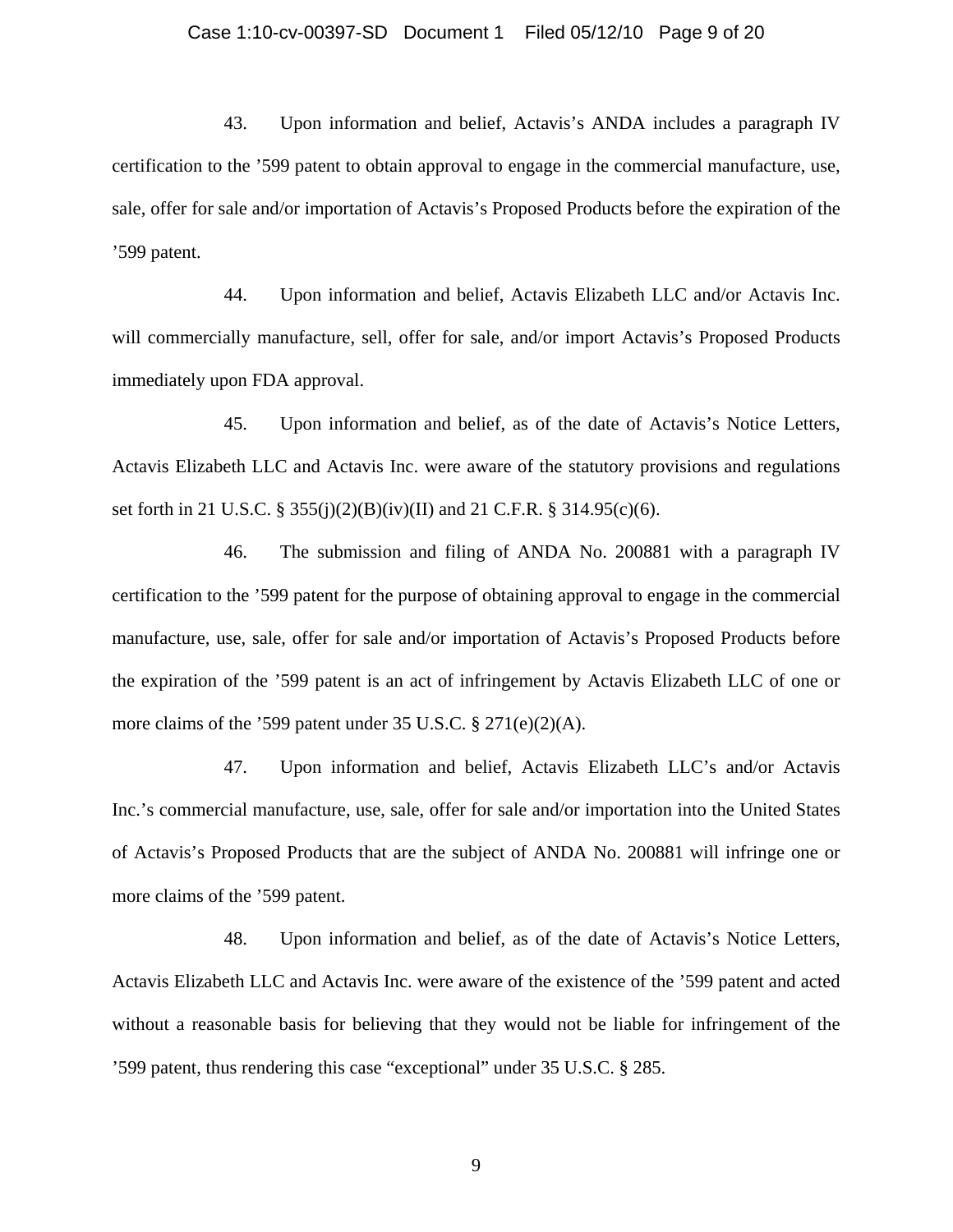### Case 1:10-cv-00397-SD Document 1 Filed 05/12/10 Page 9 of 20

43. Upon information and belief, Actavis's ANDA includes a paragraph IV certification to the '599 patent to obtain approval to engage in the commercial manufacture, use, sale, offer for sale and/or importation of Actavis's Proposed Products before the expiration of the '599 patent.

44. Upon information and belief, Actavis Elizabeth LLC and/or Actavis Inc. will commercially manufacture, sell, offer for sale, and/or import Actavis's Proposed Products immediately upon FDA approval.

45. Upon information and belief, as of the date of Actavis's Notice Letters, Actavis Elizabeth LLC and Actavis Inc. were aware of the statutory provisions and regulations set forth in 21 U.S.C. § 355(j)(2)(B)(iv)(II) and 21 C.F.R. § 314.95(c)(6).

46. The submission and filing of ANDA No. 200881 with a paragraph IV certification to the '599 patent for the purpose of obtaining approval to engage in the commercial manufacture, use, sale, offer for sale and/or importation of Actavis's Proposed Products before the expiration of the '599 patent is an act of infringement by Actavis Elizabeth LLC of one or more claims of the '599 patent under 35 U.S.C. § 271(e)(2)(A).

47. Upon information and belief, Actavis Elizabeth LLC's and/or Actavis Inc.'s commercial manufacture, use, sale, offer for sale and/or importation into the United States of Actavis's Proposed Products that are the subject of ANDA No. 200881 will infringe one or more claims of the '599 patent.

48. Upon information and belief, as of the date of Actavis's Notice Letters, Actavis Elizabeth LLC and Actavis Inc. were aware of the existence of the '599 patent and acted without a reasonable basis for believing that they would not be liable for infringement of the '599 patent, thus rendering this case "exceptional" under 35 U.S.C. § 285.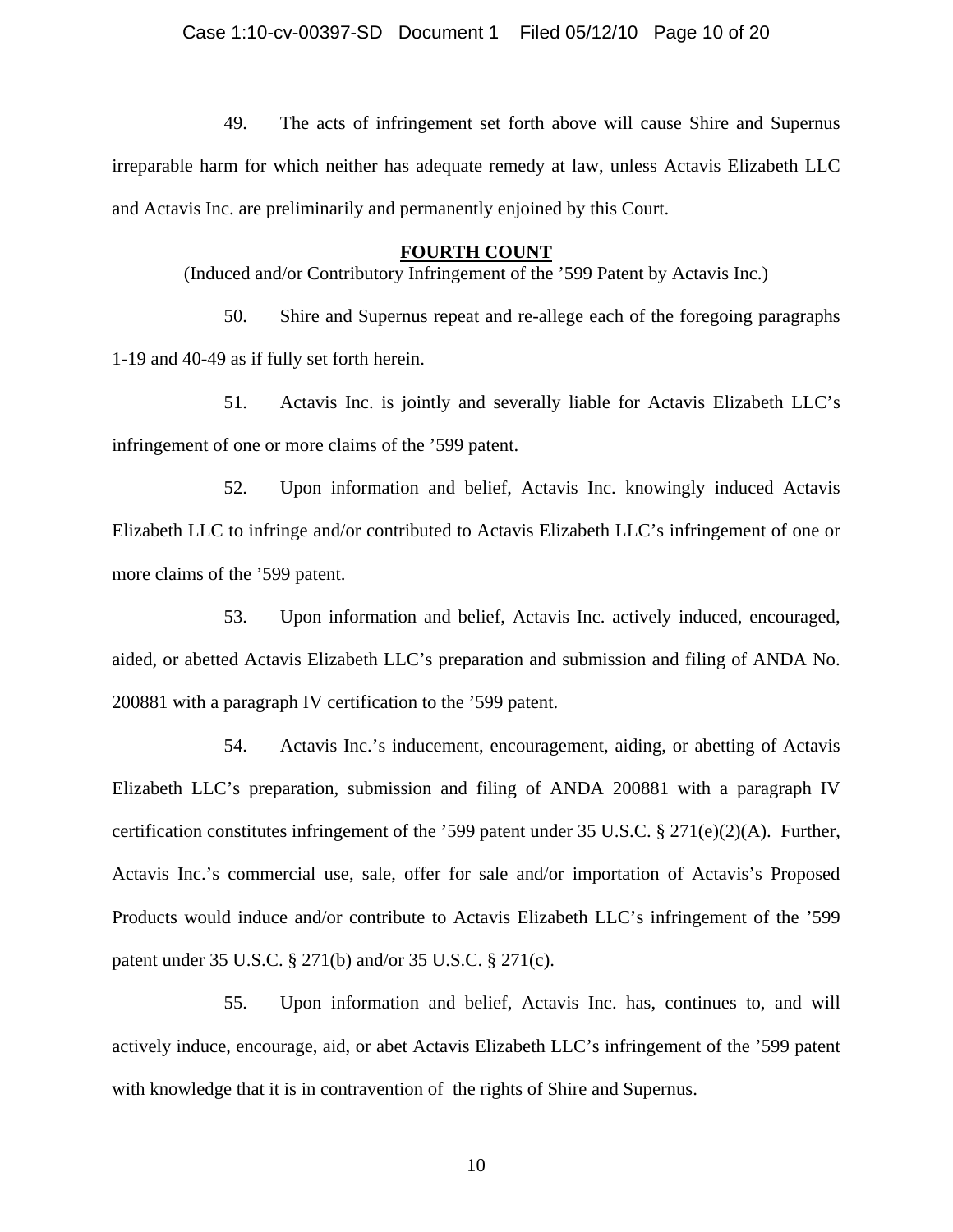49. The acts of infringement set forth above will cause Shire and Supernus irreparable harm for which neither has adequate remedy at law, unless Actavis Elizabeth LLC and Actavis Inc. are preliminarily and permanently enjoined by this Court.

#### **FOURTH COUNT**

(Induced and/or Contributory Infringement of the '599 Patent by Actavis Inc.)

50. Shire and Supernus repeat and re-allege each of the foregoing paragraphs 1-19 and 40-49 as if fully set forth herein.

51. Actavis Inc. is jointly and severally liable for Actavis Elizabeth LLC's infringement of one or more claims of the '599 patent.

52. Upon information and belief, Actavis Inc. knowingly induced Actavis Elizabeth LLC to infringe and/or contributed to Actavis Elizabeth LLC's infringement of one or more claims of the '599 patent.

53. Upon information and belief, Actavis Inc. actively induced, encouraged, aided, or abetted Actavis Elizabeth LLC's preparation and submission and filing of ANDA No. 200881 with a paragraph IV certification to the '599 patent.

54. Actavis Inc.'s inducement, encouragement, aiding, or abetting of Actavis Elizabeth LLC's preparation, submission and filing of ANDA 200881 with a paragraph IV certification constitutes infringement of the '599 patent under 35 U.S.C. § 271(e)(2)(A). Further, Actavis Inc.'s commercial use, sale, offer for sale and/or importation of Actavis's Proposed Products would induce and/or contribute to Actavis Elizabeth LLC's infringement of the '599 patent under 35 U.S.C. § 271(b) and/or 35 U.S.C. § 271(c).

55. Upon information and belief, Actavis Inc. has, continues to, and will actively induce, encourage, aid, or abet Actavis Elizabeth LLC's infringement of the '599 patent with knowledge that it is in contravention of the rights of Shire and Supernus.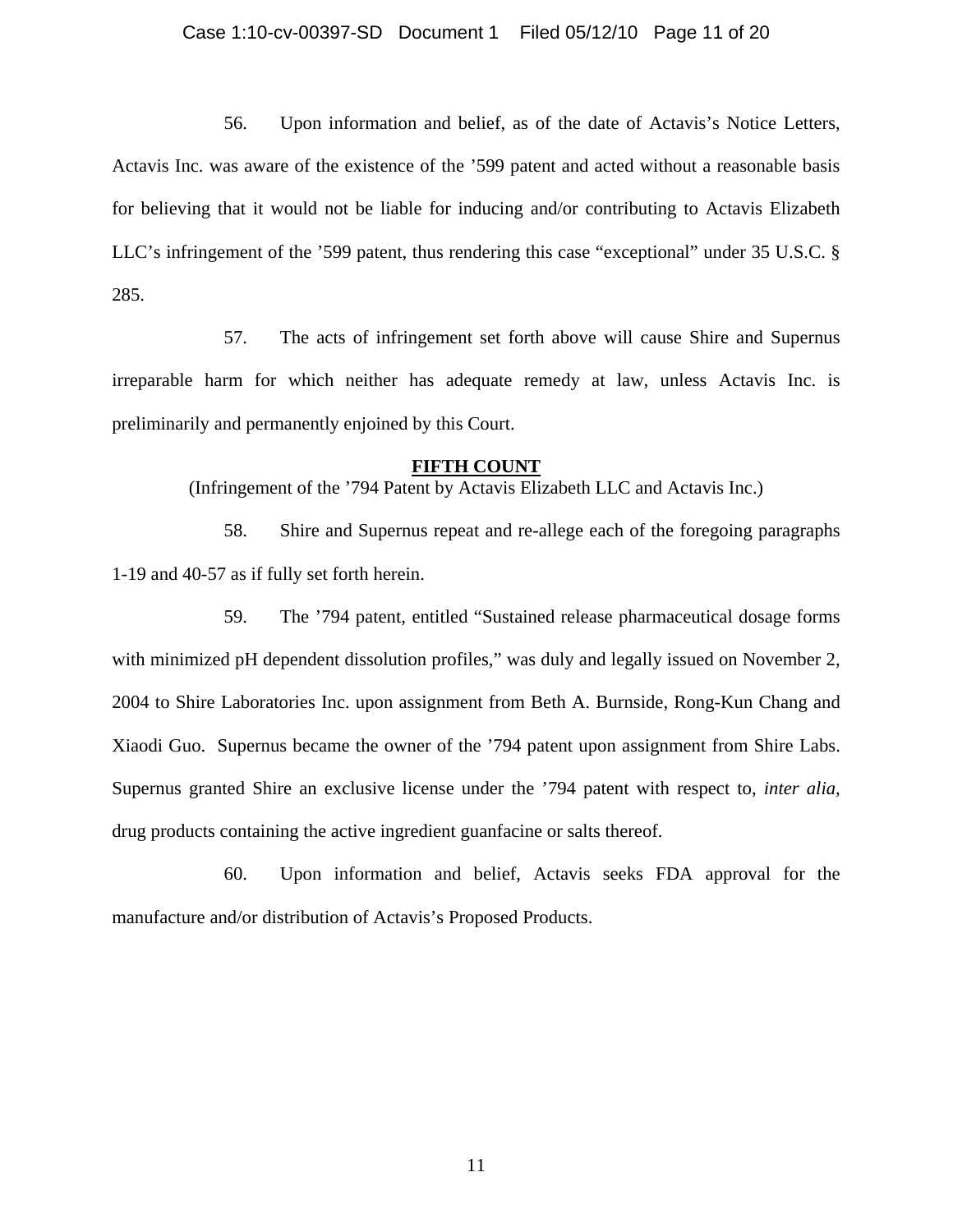### Case 1:10-cv-00397-SD Document 1 Filed 05/12/10 Page 11 of 20

56. Upon information and belief, as of the date of Actavis's Notice Letters, Actavis Inc. was aware of the existence of the '599 patent and acted without a reasonable basis for believing that it would not be liable for inducing and/or contributing to Actavis Elizabeth LLC's infringement of the '599 patent, thus rendering this case "exceptional" under 35 U.S.C. § 285.

57. The acts of infringement set forth above will cause Shire and Supernus irreparable harm for which neither has adequate remedy at law, unless Actavis Inc. is preliminarily and permanently enjoined by this Court.

#### **FIFTH COUNT**

(Infringement of the '794 Patent by Actavis Elizabeth LLC and Actavis Inc.)

58. Shire and Supernus repeat and re-allege each of the foregoing paragraphs 1-19 and 40-57 as if fully set forth herein.

59. The '794 patent, entitled "Sustained release pharmaceutical dosage forms with minimized pH dependent dissolution profiles," was duly and legally issued on November 2, 2004 to Shire Laboratories Inc. upon assignment from Beth A. Burnside, Rong-Kun Chang and Xiaodi Guo. Supernus became the owner of the '794 patent upon assignment from Shire Labs. Supernus granted Shire an exclusive license under the '794 patent with respect to, *inter alia*, drug products containing the active ingredient guanfacine or salts thereof.

60. Upon information and belief, Actavis seeks FDA approval for the manufacture and/or distribution of Actavis's Proposed Products.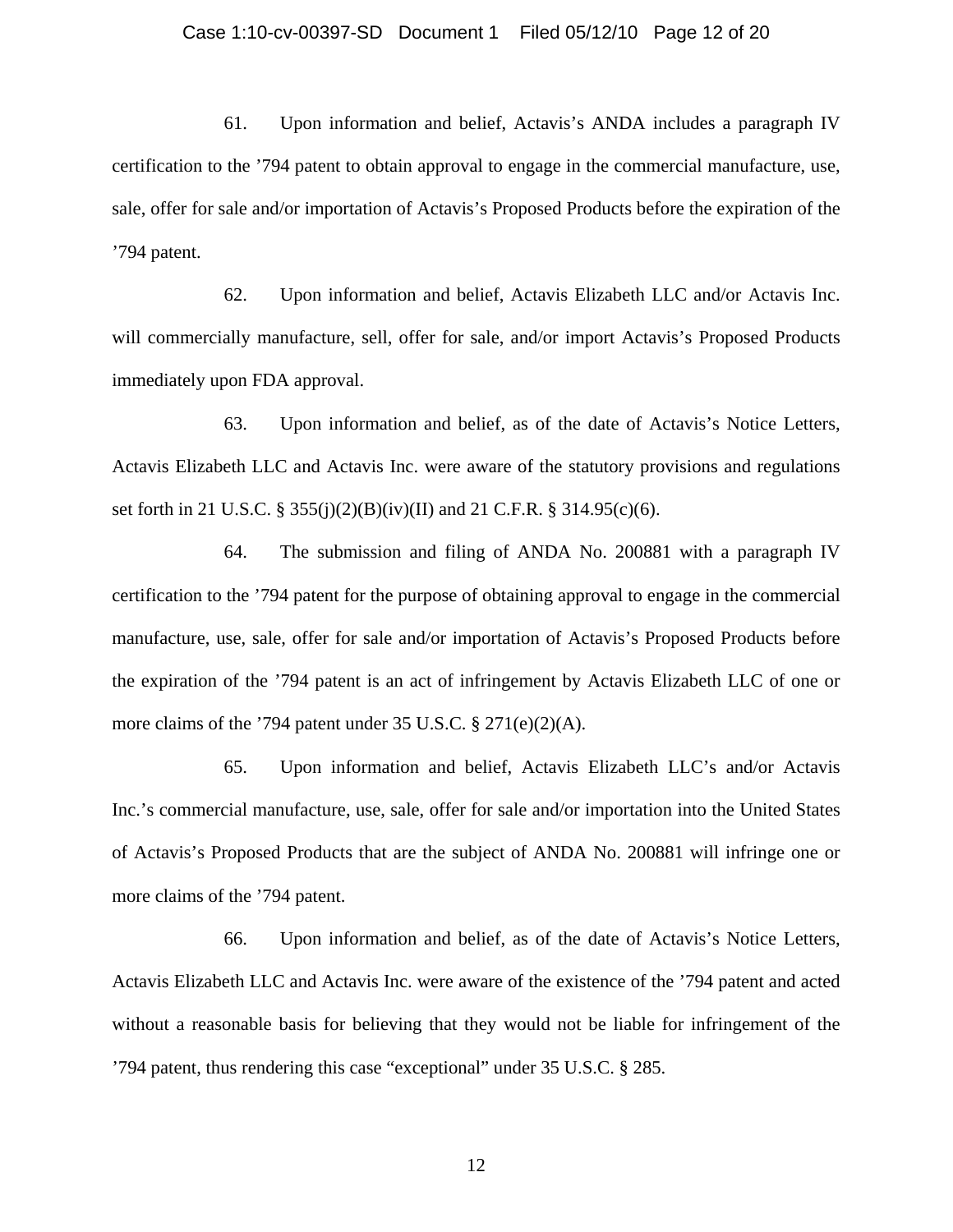#### Case 1:10-cv-00397-SD Document 1 Filed 05/12/10 Page 12 of 20

61. Upon information and belief, Actavis's ANDA includes a paragraph IV certification to the '794 patent to obtain approval to engage in the commercial manufacture, use, sale, offer for sale and/or importation of Actavis's Proposed Products before the expiration of the '794 patent.

62. Upon information and belief, Actavis Elizabeth LLC and/or Actavis Inc. will commercially manufacture, sell, offer for sale, and/or import Actavis's Proposed Products immediately upon FDA approval.

63. Upon information and belief, as of the date of Actavis's Notice Letters, Actavis Elizabeth LLC and Actavis Inc. were aware of the statutory provisions and regulations set forth in 21 U.S.C. § 355(j)(2)(B)(iv)(II) and 21 C.F.R. § 314.95(c)(6).

64. The submission and filing of ANDA No. 200881 with a paragraph IV certification to the '794 patent for the purpose of obtaining approval to engage in the commercial manufacture, use, sale, offer for sale and/or importation of Actavis's Proposed Products before the expiration of the '794 patent is an act of infringement by Actavis Elizabeth LLC of one or more claims of the '794 patent under 35 U.S.C. § 271(e)(2)(A).

65. Upon information and belief, Actavis Elizabeth LLC's and/or Actavis Inc.'s commercial manufacture, use, sale, offer for sale and/or importation into the United States of Actavis's Proposed Products that are the subject of ANDA No. 200881 will infringe one or more claims of the '794 patent.

66. Upon information and belief, as of the date of Actavis's Notice Letters, Actavis Elizabeth LLC and Actavis Inc. were aware of the existence of the '794 patent and acted without a reasonable basis for believing that they would not be liable for infringement of the '794 patent, thus rendering this case "exceptional" under 35 U.S.C. § 285.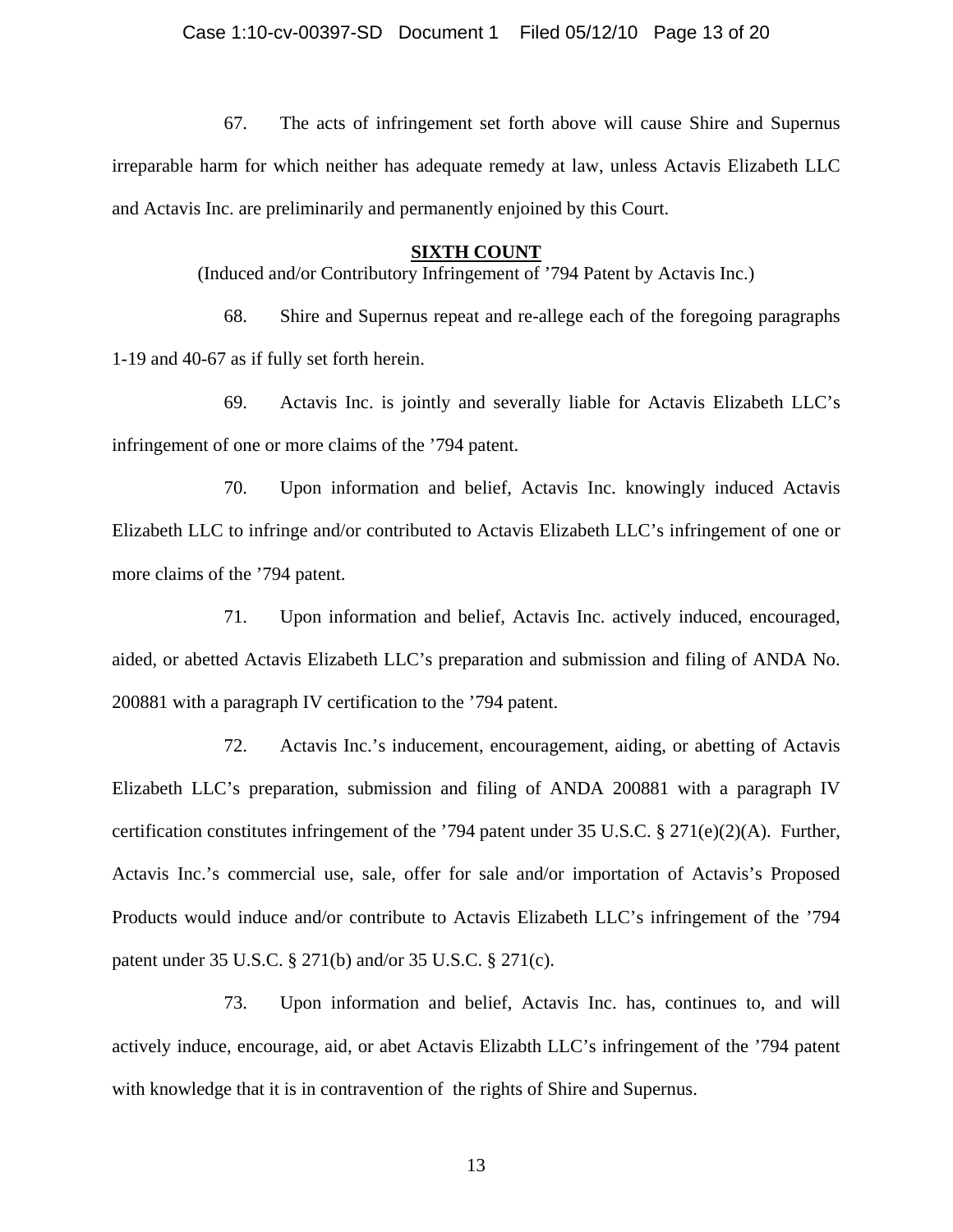67. The acts of infringement set forth above will cause Shire and Supernus irreparable harm for which neither has adequate remedy at law, unless Actavis Elizabeth LLC and Actavis Inc. are preliminarily and permanently enjoined by this Court.

## **SIXTH COUNT**

(Induced and/or Contributory Infringement of '794 Patent by Actavis Inc.)

68. Shire and Supernus repeat and re-allege each of the foregoing paragraphs 1-19 and 40-67 as if fully set forth herein.

69. Actavis Inc. is jointly and severally liable for Actavis Elizabeth LLC's infringement of one or more claims of the '794 patent.

70. Upon information and belief, Actavis Inc. knowingly induced Actavis Elizabeth LLC to infringe and/or contributed to Actavis Elizabeth LLC's infringement of one or more claims of the '794 patent.

71. Upon information and belief, Actavis Inc. actively induced, encouraged, aided, or abetted Actavis Elizabeth LLC's preparation and submission and filing of ANDA No. 200881 with a paragraph IV certification to the '794 patent.

72. Actavis Inc.'s inducement, encouragement, aiding, or abetting of Actavis Elizabeth LLC's preparation, submission and filing of ANDA 200881 with a paragraph IV certification constitutes infringement of the '794 patent under 35 U.S.C. § 271(e)(2)(A). Further, Actavis Inc.'s commercial use, sale, offer for sale and/or importation of Actavis's Proposed Products would induce and/or contribute to Actavis Elizabeth LLC's infringement of the '794 patent under 35 U.S.C. § 271(b) and/or 35 U.S.C. § 271(c).

73. Upon information and belief, Actavis Inc. has, continues to, and will actively induce, encourage, aid, or abet Actavis Elizabth LLC's infringement of the '794 patent with knowledge that it is in contravention of the rights of Shire and Supernus.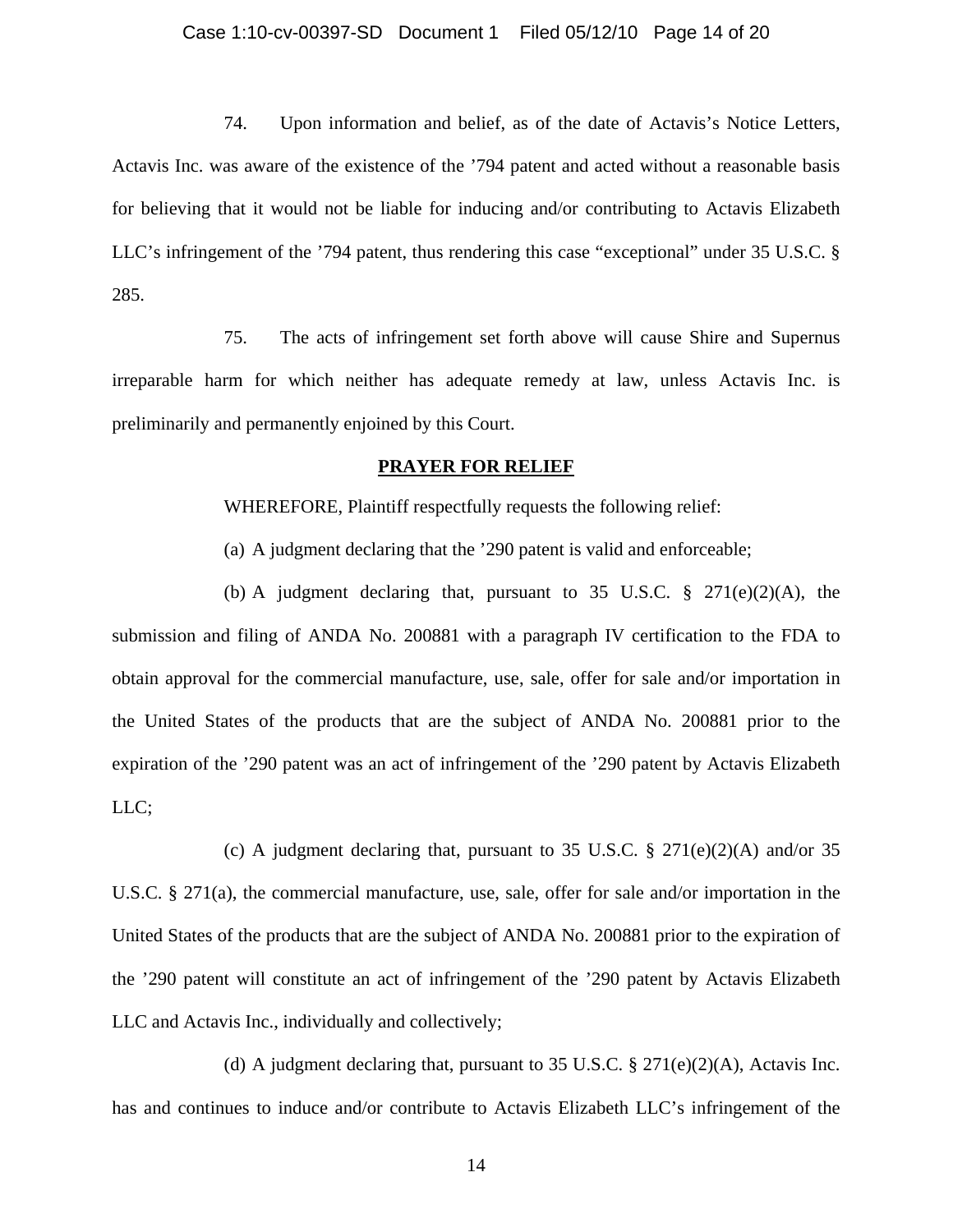### Case 1:10-cv-00397-SD Document 1 Filed 05/12/10 Page 14 of 20

74. Upon information and belief, as of the date of Actavis's Notice Letters, Actavis Inc. was aware of the existence of the '794 patent and acted without a reasonable basis for believing that it would not be liable for inducing and/or contributing to Actavis Elizabeth LLC's infringement of the '794 patent, thus rendering this case "exceptional" under 35 U.S.C. § 285.

75. The acts of infringement set forth above will cause Shire and Supernus irreparable harm for which neither has adequate remedy at law, unless Actavis Inc. is preliminarily and permanently enjoined by this Court.

### **PRAYER FOR RELIEF**

WHEREFORE, Plaintiff respectfully requests the following relief:

(a) A judgment declaring that the '290 patent is valid and enforceable;

(b) A judgment declaring that, pursuant to 35 U.S.C.  $\S$  271(e)(2)(A), the submission and filing of ANDA No. 200881 with a paragraph IV certification to the FDA to obtain approval for the commercial manufacture, use, sale, offer for sale and/or importation in the United States of the products that are the subject of ANDA No. 200881 prior to the expiration of the '290 patent was an act of infringement of the '290 patent by Actavis Elizabeth LLC;

(c) A judgment declaring that, pursuant to 35 U.S.C.  $\S 271(e)(2)(A)$  and/or 35 U.S.C. § 271(a), the commercial manufacture, use, sale, offer for sale and/or importation in the United States of the products that are the subject of ANDA No. 200881 prior to the expiration of the '290 patent will constitute an act of infringement of the '290 patent by Actavis Elizabeth LLC and Actavis Inc., individually and collectively;

(d) A judgment declaring that, pursuant to 35 U.S.C.  $\S 271(e)(2)(A)$ , Actavis Inc. has and continues to induce and/or contribute to Actavis Elizabeth LLC's infringement of the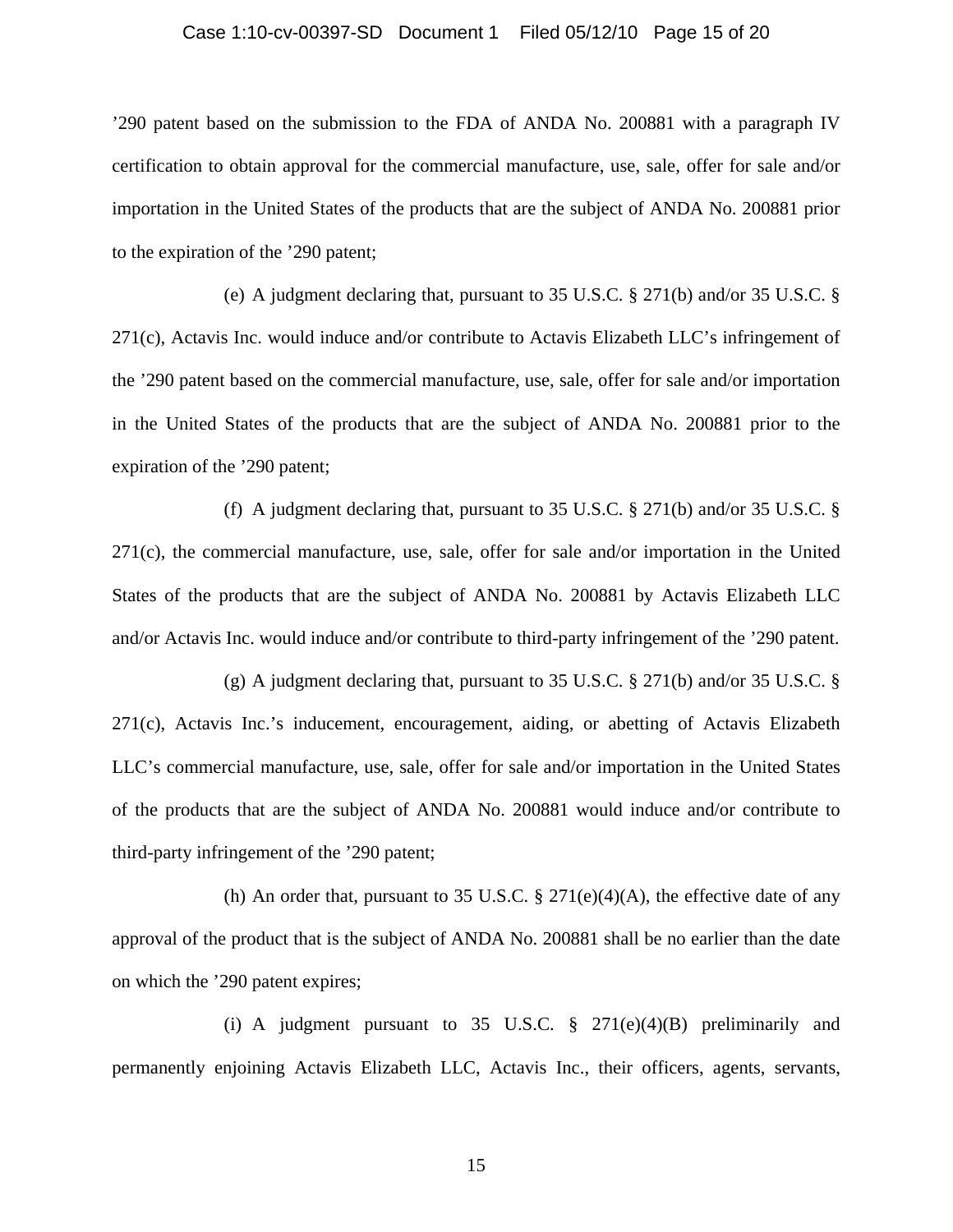#### Case 1:10-cv-00397-SD Document 1 Filed 05/12/10 Page 15 of 20

'290 patent based on the submission to the FDA of ANDA No. 200881 with a paragraph IV certification to obtain approval for the commercial manufacture, use, sale, offer for sale and/or importation in the United States of the products that are the subject of ANDA No. 200881 prior to the expiration of the '290 patent;

(e) A judgment declaring that, pursuant to 35 U.S.C. § 271(b) and/or 35 U.S.C. § 271(c), Actavis Inc. would induce and/or contribute to Actavis Elizabeth LLC's infringement of the '290 patent based on the commercial manufacture, use, sale, offer for sale and/or importation in the United States of the products that are the subject of ANDA No. 200881 prior to the expiration of the '290 patent;

(f) A judgment declaring that, pursuant to 35 U.S.C. § 271(b) and/or 35 U.S.C. § 271(c), the commercial manufacture, use, sale, offer for sale and/or importation in the United States of the products that are the subject of ANDA No. 200881 by Actavis Elizabeth LLC and/or Actavis Inc. would induce and/or contribute to third-party infringement of the '290 patent.

(g) A judgment declaring that, pursuant to 35 U.S.C. § 271(b) and/or 35 U.S.C. § 271(c), Actavis Inc.'s inducement, encouragement, aiding, or abetting of Actavis Elizabeth LLC's commercial manufacture, use, sale, offer for sale and/or importation in the United States of the products that are the subject of ANDA No. 200881 would induce and/or contribute to third-party infringement of the '290 patent;

(h) An order that, pursuant to 35 U.S.C. § 271(e)(4)(A), the effective date of any approval of the product that is the subject of ANDA No. 200881 shall be no earlier than the date on which the '290 patent expires;

(i) A judgment pursuant to 35 U.S.C.  $\S$  271(e)(4)(B) preliminarily and permanently enjoining Actavis Elizabeth LLC, Actavis Inc., their officers, agents, servants,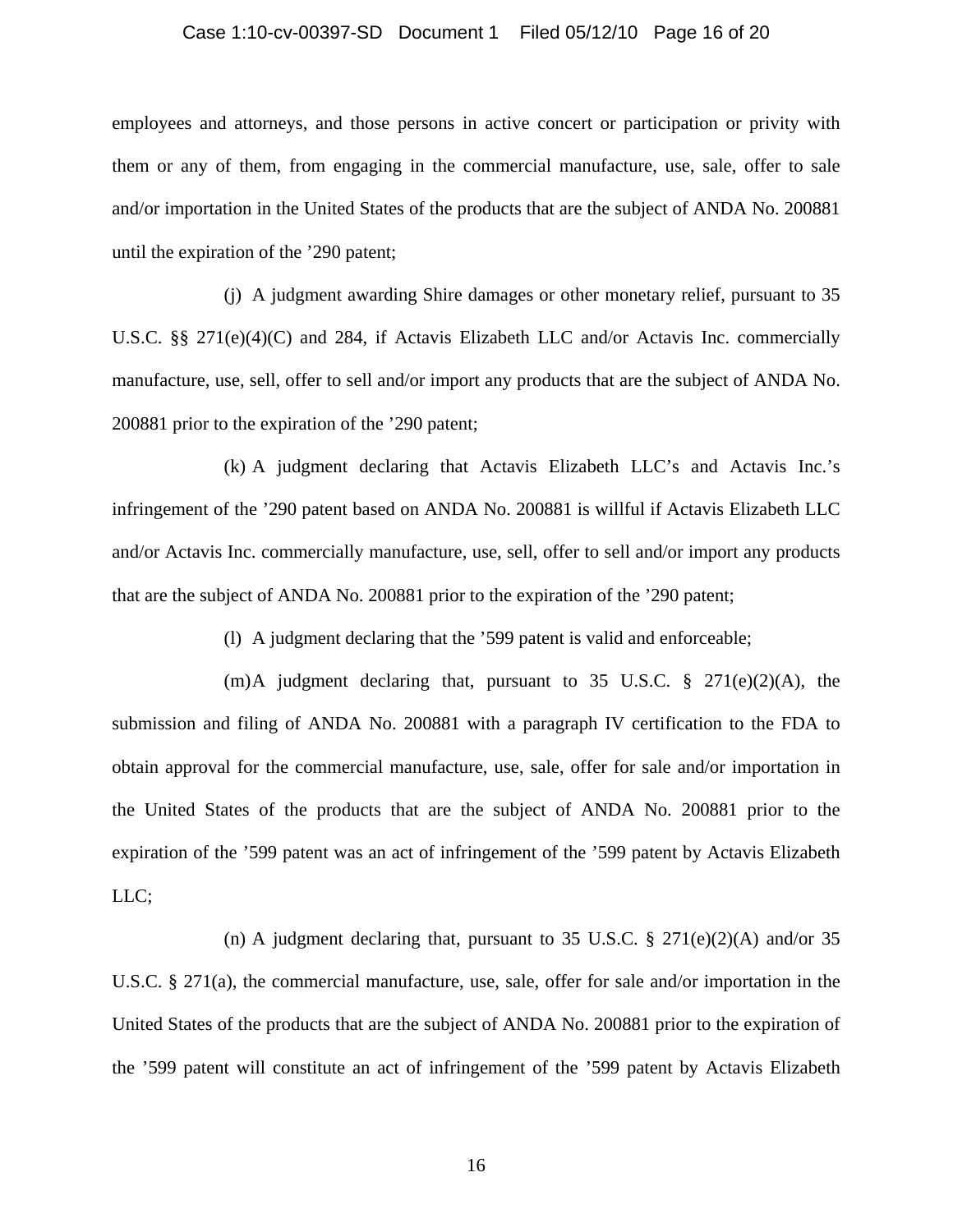### Case 1:10-cv-00397-SD Document 1 Filed 05/12/10 Page 16 of 20

employees and attorneys, and those persons in active concert or participation or privity with them or any of them, from engaging in the commercial manufacture, use, sale, offer to sale and/or importation in the United States of the products that are the subject of ANDA No. 200881 until the expiration of the '290 patent;

(j) A judgment awarding Shire damages or other monetary relief, pursuant to 35 U.S.C. §§ 271(e)(4)(C) and 284, if Actavis Elizabeth LLC and/or Actavis Inc. commercially manufacture, use, sell, offer to sell and/or import any products that are the subject of ANDA No. 200881 prior to the expiration of the '290 patent;

(k) A judgment declaring that Actavis Elizabeth LLC's and Actavis Inc.'s infringement of the '290 patent based on ANDA No. 200881 is willful if Actavis Elizabeth LLC and/or Actavis Inc. commercially manufacture, use, sell, offer to sell and/or import any products that are the subject of ANDA No. 200881 prior to the expiration of the '290 patent;

(l) A judgment declaring that the '599 patent is valid and enforceable;

(m)A judgment declaring that, pursuant to 35 U.S.C.  $\S$  271(e)(2)(A), the submission and filing of ANDA No. 200881 with a paragraph IV certification to the FDA to obtain approval for the commercial manufacture, use, sale, offer for sale and/or importation in the United States of the products that are the subject of ANDA No. 200881 prior to the expiration of the '599 patent was an act of infringement of the '599 patent by Actavis Elizabeth LLC;

(n) A judgment declaring that, pursuant to 35 U.S.C.  $\S 271(e)(2)(A)$  and/or 35 U.S.C. § 271(a), the commercial manufacture, use, sale, offer for sale and/or importation in the United States of the products that are the subject of ANDA No. 200881 prior to the expiration of the '599 patent will constitute an act of infringement of the '599 patent by Actavis Elizabeth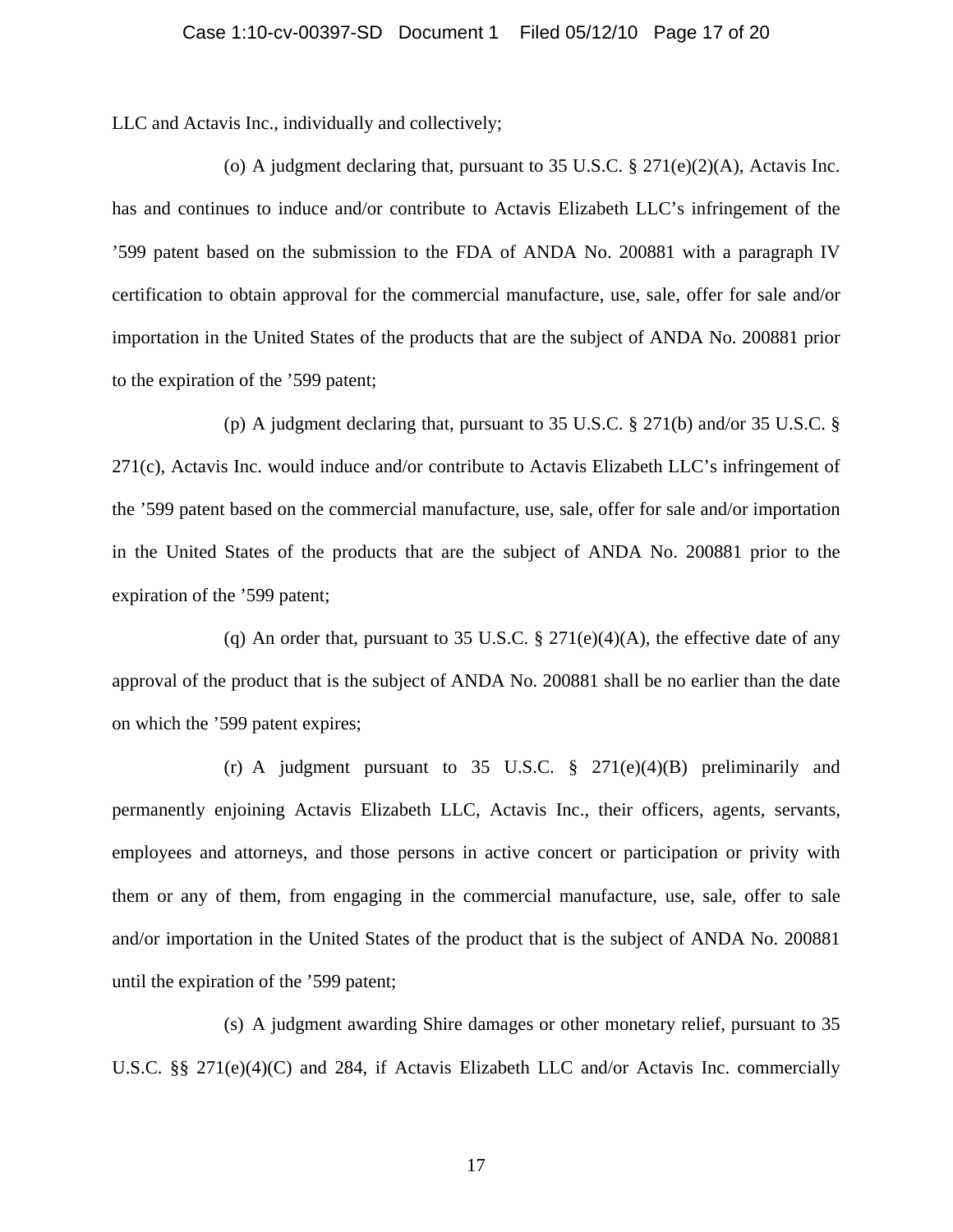LLC and Actavis Inc., individually and collectively;

(o) A judgment declaring that, pursuant to 35 U.S.C.  $\S 271(e)(2)(A)$ , Actavis Inc. has and continues to induce and/or contribute to Actavis Elizabeth LLC's infringement of the '599 patent based on the submission to the FDA of ANDA No. 200881 with a paragraph IV certification to obtain approval for the commercial manufacture, use, sale, offer for sale and/or importation in the United States of the products that are the subject of ANDA No. 200881 prior to the expiration of the '599 patent;

(p) A judgment declaring that, pursuant to 35 U.S.C. § 271(b) and/or 35 U.S.C. § 271(c), Actavis Inc. would induce and/or contribute to Actavis Elizabeth LLC's infringement of the '599 patent based on the commercial manufacture, use, sale, offer for sale and/or importation in the United States of the products that are the subject of ANDA No. 200881 prior to the expiration of the '599 patent;

(q) An order that, pursuant to 35 U.S.C.  $\S 271(e)(4)(A)$ , the effective date of any approval of the product that is the subject of ANDA No. 200881 shall be no earlier than the date on which the '599 patent expires;

(r) A judgment pursuant to 35 U.S.C.  $\S$  271(e)(4)(B) preliminarily and permanently enjoining Actavis Elizabeth LLC, Actavis Inc., their officers, agents, servants, employees and attorneys, and those persons in active concert or participation or privity with them or any of them, from engaging in the commercial manufacture, use, sale, offer to sale and/or importation in the United States of the product that is the subject of ANDA No. 200881 until the expiration of the '599 patent;

(s) A judgment awarding Shire damages or other monetary relief, pursuant to 35 U.S.C. §§ 271(e)(4)(C) and 284, if Actavis Elizabeth LLC and/or Actavis Inc. commercially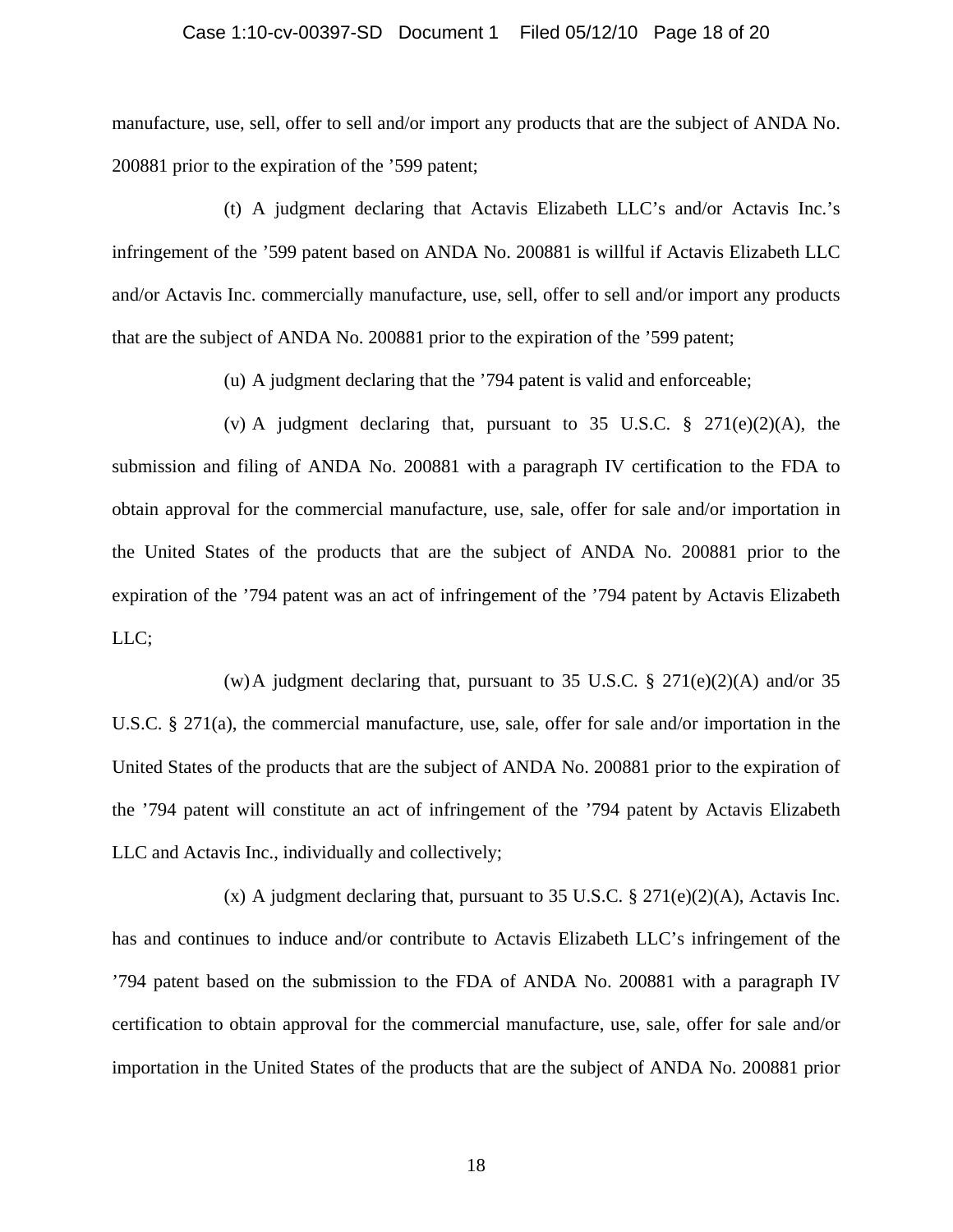#### Case 1:10-cv-00397-SD Document 1 Filed 05/12/10 Page 18 of 20

manufacture, use, sell, offer to sell and/or import any products that are the subject of ANDA No. 200881 prior to the expiration of the '599 patent;

(t) A judgment declaring that Actavis Elizabeth LLC's and/or Actavis Inc.'s infringement of the '599 patent based on ANDA No. 200881 is willful if Actavis Elizabeth LLC and/or Actavis Inc. commercially manufacture, use, sell, offer to sell and/or import any products that are the subject of ANDA No. 200881 prior to the expiration of the '599 patent;

(u) A judgment declaring that the '794 patent is valid and enforceable;

(v) A judgment declaring that, pursuant to 35 U.S.C.  $\frac{8}{3}$  271(e)(2)(A), the submission and filing of ANDA No. 200881 with a paragraph IV certification to the FDA to obtain approval for the commercial manufacture, use, sale, offer for sale and/or importation in the United States of the products that are the subject of ANDA No. 200881 prior to the expiration of the '794 patent was an act of infringement of the '794 patent by Actavis Elizabeth LLC;

(w)A judgment declaring that, pursuant to 35 U.S.C. § 271(e)(2)(A) and/or 35 U.S.C. § 271(a), the commercial manufacture, use, sale, offer for sale and/or importation in the United States of the products that are the subject of ANDA No. 200881 prior to the expiration of the '794 patent will constitute an act of infringement of the '794 patent by Actavis Elizabeth LLC and Actavis Inc., individually and collectively;

(x) A judgment declaring that, pursuant to 35 U.S.C.  $\S 271(e)(2)(A)$ , Actavis Inc. has and continues to induce and/or contribute to Actavis Elizabeth LLC's infringement of the '794 patent based on the submission to the FDA of ANDA No. 200881 with a paragraph IV certification to obtain approval for the commercial manufacture, use, sale, offer for sale and/or importation in the United States of the products that are the subject of ANDA No. 200881 prior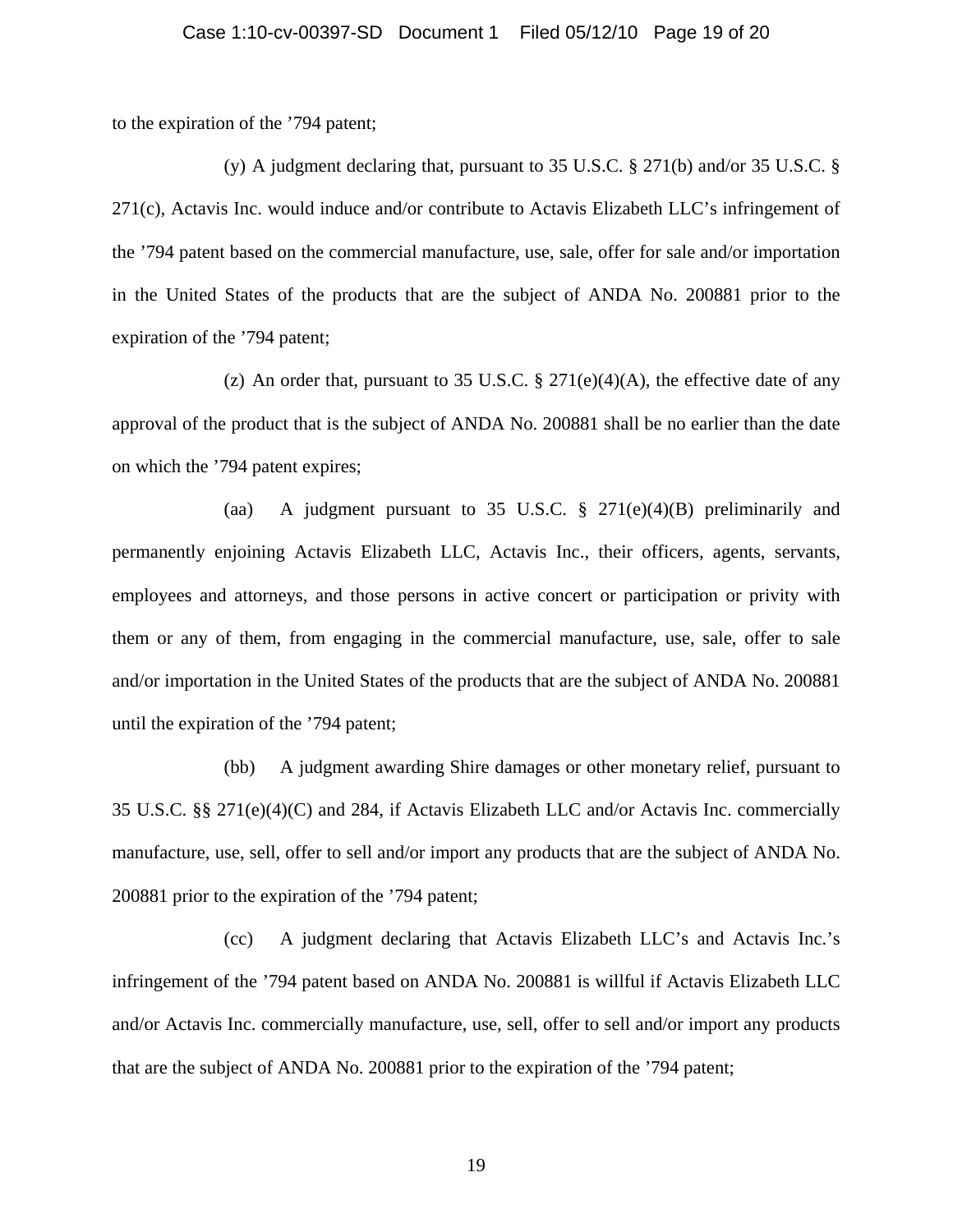to the expiration of the '794 patent;

(y) A judgment declaring that, pursuant to 35 U.S.C. § 271(b) and/or 35 U.S.C. § 271(c), Actavis Inc. would induce and/or contribute to Actavis Elizabeth LLC's infringement of the '794 patent based on the commercial manufacture, use, sale, offer for sale and/or importation in the United States of the products that are the subject of ANDA No. 200881 prior to the expiration of the '794 patent;

(z) An order that, pursuant to 35 U.S.C. § 271(e)(4)(A), the effective date of any approval of the product that is the subject of ANDA No. 200881 shall be no earlier than the date on which the '794 patent expires;

(aa) A judgment pursuant to 35 U.S.C.  $\S$  271(e)(4)(B) preliminarily and permanently enjoining Actavis Elizabeth LLC, Actavis Inc., their officers, agents, servants, employees and attorneys, and those persons in active concert or participation or privity with them or any of them, from engaging in the commercial manufacture, use, sale, offer to sale and/or importation in the United States of the products that are the subject of ANDA No. 200881 until the expiration of the '794 patent;

(bb) A judgment awarding Shire damages or other monetary relief, pursuant to 35 U.S.C. §§ 271(e)(4)(C) and 284, if Actavis Elizabeth LLC and/or Actavis Inc. commercially manufacture, use, sell, offer to sell and/or import any products that are the subject of ANDA No. 200881 prior to the expiration of the '794 patent;

(cc) A judgment declaring that Actavis Elizabeth LLC's and Actavis Inc.'s infringement of the '794 patent based on ANDA No. 200881 is willful if Actavis Elizabeth LLC and/or Actavis Inc. commercially manufacture, use, sell, offer to sell and/or import any products that are the subject of ANDA No. 200881 prior to the expiration of the '794 patent;